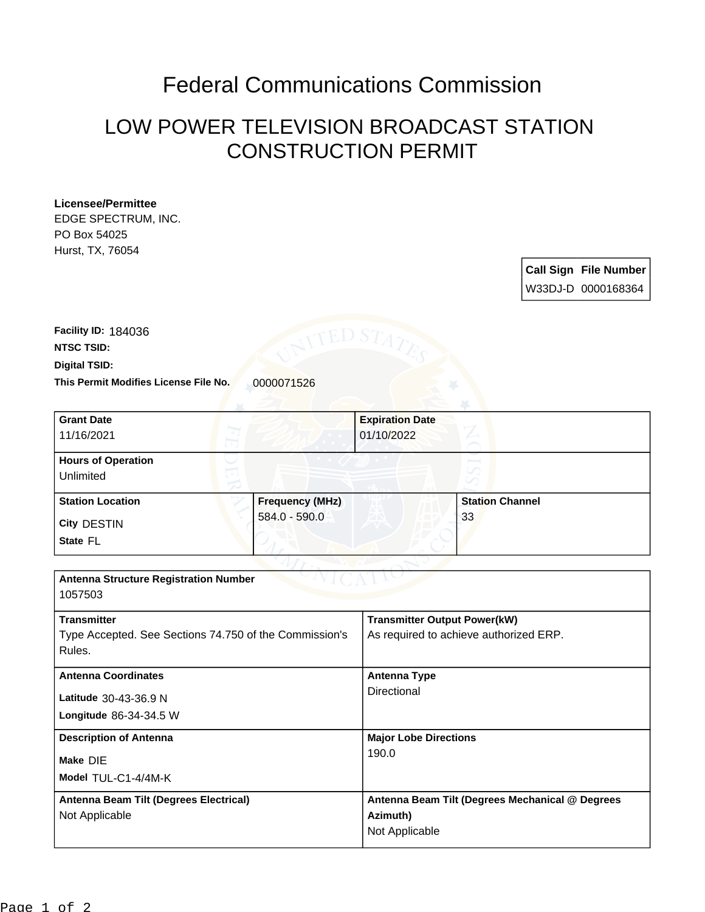## Federal Communications Commission

## LOW POWER TELEVISION BROADCAST STATION CONSTRUCTION PERMIT

## **Licensee/Permittee**

EDGE SPECTRUM, INC. PO Box 54025 Hurst, TX, 76054

> **Call Sign File Number** W33DJ-D 0000168364

**This Permit Modifies License File No.** 0000071526 **Digital TSID: NTSC TSID: Facility ID:** 184036

| <b>Grant Date</b>                                      |                 | <b>Expiration Date</b>                 |                                                 |
|--------------------------------------------------------|-----------------|----------------------------------------|-------------------------------------------------|
| 11/16/2021                                             |                 | 01/10/2022                             |                                                 |
|                                                        |                 |                                        |                                                 |
| <b>Hours of Operation</b>                              |                 |                                        |                                                 |
| Unlimited                                              |                 |                                        |                                                 |
| <b>Station Location</b>                                | Frequency (MHz) |                                        | <b>Station Channel</b>                          |
| City DESTIN                                            | 584.0 - 590.0   |                                        | 33                                              |
| State FL                                               |                 |                                        |                                                 |
|                                                        |                 |                                        |                                                 |
| <b>Antenna Structure Registration Number</b>           |                 |                                        |                                                 |
| 1057503                                                |                 |                                        |                                                 |
| <b>Transmitter</b>                                     |                 | <b>Transmitter Output Power(kW)</b>    |                                                 |
| Type Accepted. See Sections 74.750 of the Commission's |                 | As required to achieve authorized ERP. |                                                 |
| Rules.                                                 |                 |                                        |                                                 |
| <b>Antenna Coordinates</b>                             |                 | <b>Antenna Type</b>                    |                                                 |
| Latitude 30-43-36.9 N                                  |                 | Directional                            |                                                 |
| Longitude 86-34-34.5 W                                 |                 |                                        |                                                 |
|                                                        |                 |                                        |                                                 |
| <b>Description of Antenna</b>                          |                 | <b>Major Lobe Directions</b>           |                                                 |
| Make DIE                                               |                 | 190.0                                  |                                                 |
| Model TUL-C1-4/4M-K                                    |                 |                                        |                                                 |
| Antenna Beam Tilt (Degrees Electrical)                 |                 |                                        | Antenna Beam Tilt (Degrees Mechanical @ Degrees |
| Not Applicable                                         |                 | Azimuth)                               |                                                 |
|                                                        |                 | Not Applicable                         |                                                 |
|                                                        |                 |                                        |                                                 |